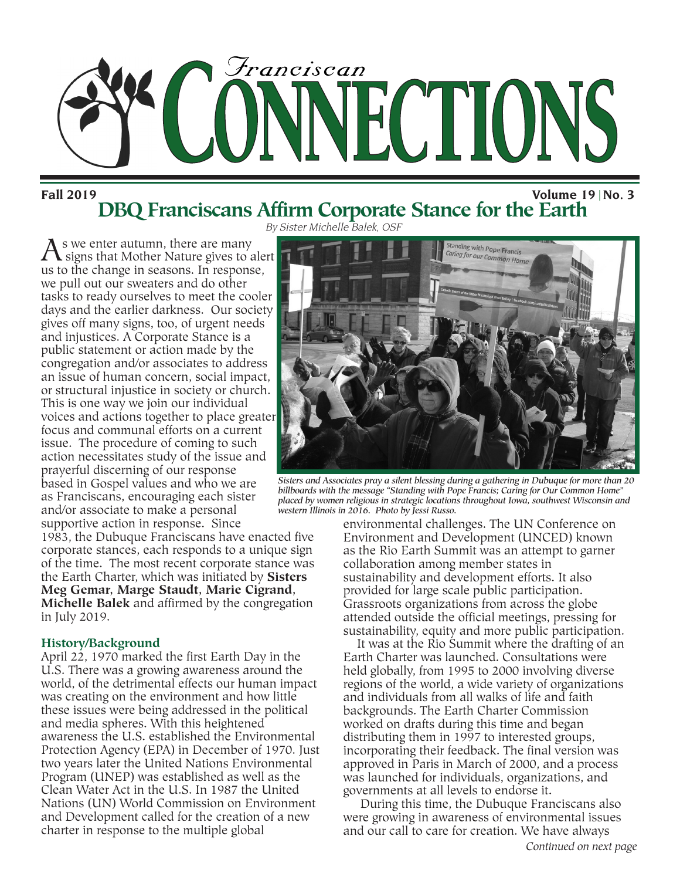

**Fall 2019 Volume 19 No. 3**

By Sister Michelle Balek, OSF **DBQ Franciscans Affirm Corporate Stance for the Earth**

As we enter autumn, there are many<br>signs that Mother Nature gives to alert us to the change in seasons. In response, we pull out our sweaters and do other tasks to ready ourselves to meet the cooler days and the earlier darkness. Our society gives off many signs, too, of urgent needs and injustices. A Corporate Stance is a public statement or action made by the congregation and/or associates to address an issue of human concern, social impact, or structural injustice in society or church. This is one way we join our individual voices and actions together to place greater focus and communal efforts on a current issue. The procedure of coming to such action necessitates study of the issue and prayerful discerning of our response based in Gospel values and who we are as Franciscans, encouraging each sister and/or associate to make a personal supportive action in response. Since

1983, the Dubuque Franciscans have enacted five corporate stances, each responds to a unique sign of the time. The most recent corporate stance was the Earth Charter, which was initiated by **Sisters Meg Gemar, Marge Staudt, Marie Cigrand, Michelle Balek** and affirmed by the congregation in July 2019.

### **History/Background**

April 22, 1970 marked the first Earth Day in the U.S. There was a growing awareness around the world, of the detrimental effects our human impact was creating on the environment and how little these issues were being addressed in the political and media spheres. With this heightened awareness the U.S. established the Environmental Protection Agency (EPA) in December of 1970. Just two years later the United Nations Environmental Program (UNEP) was established as well as the Clean Water Act in the U.S. In 1987 the United Nations (UN) World Commission on Environment and Development called for the creation of a new charter in response to the multiple global



*Sisters and Associates pray a silent blessing during a gathering in Dubuque for more than 20 billboards with the message "Standing with Pope Francis; Caring for Our Common Home" placed by women religious in strategic locations throughout Iowa, southwest Wisconsin and western Illinois in 2016. Photo by Jessi Russo.*

environmental challenges. The UN Conference on Environment and Development (UNCED) known as the Rio Earth Summit was an attempt to garner collaboration among member states in sustainability and development efforts. It also provided for large scale public participation. Grassroots organizations from across the globe attended outside the official meetings, pressing for sustainability, equity and more public participation.

It was at the Rio Summit where the drafting of an Earth Charter was launched. Consultations were held globally, from 1995 to 2000 involving diverse regions of the world, a wide variety of organizations and individuals from all walks of life and faith backgrounds. The Earth Charter Commission worked on drafts during this time and began distributing them in 1997 to interested groups, incorporating their feedback. The final version was approved in Paris in March of 2000, and a process was launched for individuals, organizations, and governments at all levels to endorse it.

During this time, the Dubuque Franciscans also were growing in awareness of environmental issues and our call to care for creation. We have always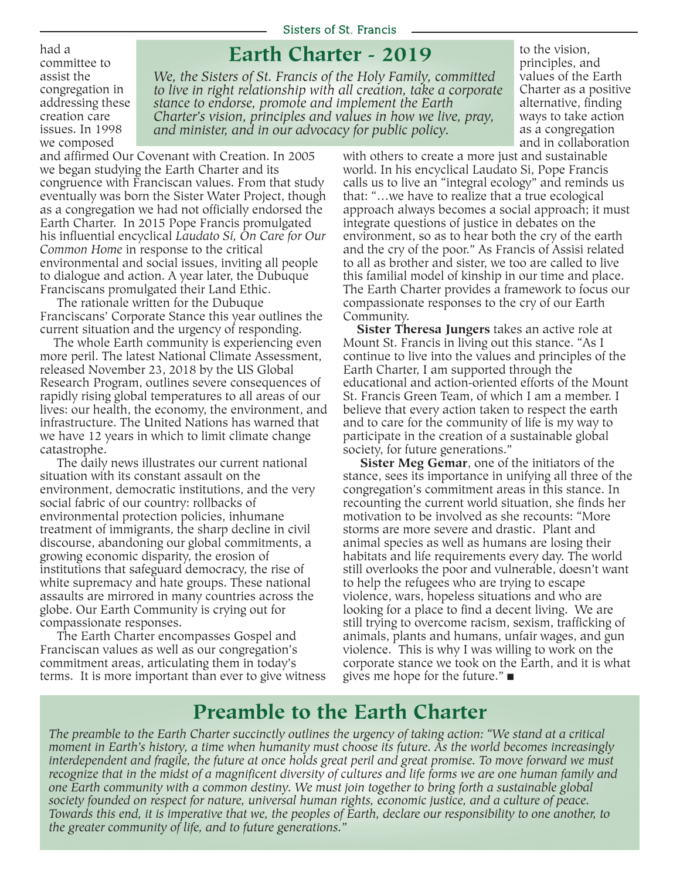#### Sisters of St. Francis

**Earth Charter - 2019**

committee to assist the congregation in addressing these creation care issues. In 1998 we composed

had a

*We, the Sisters of St. Francis of the Holy Family, committed to live in right relationship with all creation, take a corporate stance to endorse, promote and implement the Earth Charter's vision, principles and values in how we live, pray, and minister, and in our advocacy for public policy.*

to the vision, principles, and values of the Earth Charter as a positive alternative, finding ways to take action as a congregation and in collaboration

and affirmed Our Covenant with Creation. In 2005 we began studying the Earth Charter and its congruence with Franciscan values. From that study eventually was born the Sister Water Project, though as a congregation we had not officially endorsed the Earth Charter. In 2015 Pope Francis promulgated his influential encyclical *Laudato Sí, On Care for Our Common Home* in response to the critical environmental and social issues, inviting all people to dialogue and action. A year later, the Dubuque Franciscans promulgated their Land Ethic.

The rationale written for the Dubuque Franciscans' Corporate Stance this year outlines the current situation and the urgency of responding.

The whole Earth community is experiencing even more peril. The latest National Climate Assessment, released November 23, 2018 by the US Global Research Program, outlines severe consequences of rapidly rising global temperatures to all areas of our lives: our health, the economy, the environment, and infrastructure. The United Nations has warned that we have 12 years in which to limit climate change catastrophe.

The daily news illustrates our current national situation with its constant assault on the environment, democratic institutions, and the very social fabric of our country: rollbacks of environmental protection policies, inhumane treatment of immigrants, the sharp decline in civil discourse, abandoning our global commitments, a growing economic disparity, the erosion of institutions that safeguard democracy, the rise of white supremacy and hate groups. These national assaults are mirrored in many countries across the globe. Our Earth Community is crying out for compassionate responses.

The Earth Charter encompasses Gospel and Franciscan values as well as our congregation's commitment areas, articulating them in today's terms. It is more important than ever to give witness with others to create a more just and sustainable world. In his encyclical Laudato Si, Pope Francis calls us to live an "integral ecology" and reminds us that: "…we have to realize that a true ecological approach always becomes a social approach; it must integrate questions of justice in debates on the environment, so as to hear both the cry of the earth and the cry of the poor." As Francis of Assisi related to all as brother and sister, we too are called to live this familial model of kinship in our time and place. The Earth Charter provides a framework to focus our compassionate responses to the cry of our Earth Community.

**Sister Theresa Jungers** takes an active role at Mount St. Francis in living out this stance. "As I continue to live into the values and principles of the Earth Charter, I am supported through the educational and action-oriented efforts of the Mount St. Francis Green Team, of which I am a member. I believe that every action taken to respect the earth and to care for the community of life is my way to participate in the creation of a sustainable global society, for future generations."

**Sister Meg Gemar**, one of the initiators of the stance, sees its importance in unifying all three of the congregation's commitment areas in this stance. In recounting the current world situation, she finds her motivation to be involved as she recounts: "More storms are more severe and drastic. Plant and animal species as well as humans are losing their habitats and life requirements every day. The world still overlooks the poor and vulnerable, doesn't want to help the refugees who are trying to escape violence, wars, hopeless situations and who are looking for a place to find a decent living. We are still trying to overcome racism, sexism, trafficking of animals, plants and humans, unfair wages, and gun violence. This is why I was willing to work on the corporate stance we took on the Earth, and it is what gives me hope for the future." $\blacksquare$ 

## **Preamble to the Earth Charter**

The preamble to the Earth Charter succinctly outlines the urgency of taking action: "We stand at a critical *moment in Earth's history, a time when humanity must choose its future. As the world becomes increasingly* interdependent and fragile, the future at once holds great peril and great promise. To move forward we must recognize that in the midst of a magnificent diversity of cultures and life forms we are one human family and *one Earth community with a common destiny. We must join together to bring forth a sustainable global society founded on respect for nature, universal human rights, economic justice, and a culture of peace.* Towards this end, it is imperative that we, the peoples of Earth, declare our responsibility to one another, to *the greater community of life, and to future generations."*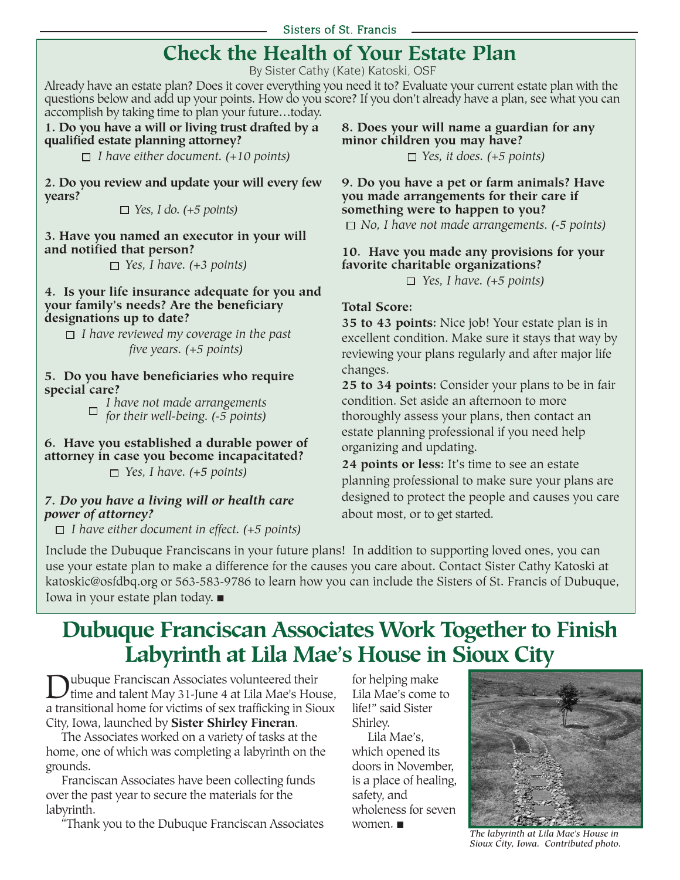## **Check the Health of Your Estate Plan**

By Sister Cathy (Kate) Katoski, OSF

Already have an estate plan? Does it cover everything you need it to? Evaluate your current estate plan with the questions below and add up your points. How do you score? If you don't already have a plan, see what you can accomplish by taking time to plan your future…today.

#### **1. Do you have a will or living trust drafted by a qualified estate planning attorney?**

*I have either document. (+10 points)*

**2. Do you review and update your will every few years?**

*Yes, I do. (+5 points)*

**3. Have you named an executor in your will and notified that person?**

*Yes, I have. (+3 points)*

### **4. Is your life insurance adequate for you and your family's needs? Are the beneficiary designations up to date?**

*I have reviewed my coverage in the past five years. (+5 points)*

**5. Do you have beneficiaries who require special care?**

*I have not made arrangements for their well-being. (-5 points)*

**6. Have you established a durable power of attorney in case you become incapacitated?** *Yes, I have. (+5 points)*

## *7. Do you have a living will or health care power of attorney?*

*I have either document in effect. (+5 points)*

**8. Does your will name a guardian for any minor children you may have?** *Yes, it does. (+5 points)*

**9. Do you have a pet or farm animals? Have you made arrangements for their care if something were to happen to you?**

*No, I have not made arrangements. (-5 points)*

## **10. Have you made any provisions for your favorite charitable organizations?**

*Yes, I have. (+5 points)*

## **Total Score:**

**35 to 43 points:** Nice job! Your estate plan is in excellent condition. Make sure it stays that way by reviewing your plans regularly and after major life changes.

**25 to 34 points:** Consider your plans to be in fair condition. Set aside an afternoon to more thoroughly assess your plans, then contact an estate planning professional if you need help organizing and updating.

**24 points or less:** It's time to see an estate planning professional to make sure your plans are designed to protect the people and causes you care about most, or to get started.

Include the Dubuque Franciscans in your future plans! In addition to supporting loved ones, you can use your estate plan to make a difference for the causes you care about. Contact Sister Cathy Katoski at katoskic@osfdbq.org or 563-583-9786 to learn how you can include the Sisters of St. Francis of Dubuque, Iowa in your estate plan today.  $\blacksquare$ 

## **Dubuque Franciscan Associates Work Together to Finish Labyrinth at Lila Mae's House in Sioux City**

Dubuque Franciscan Associates volunteered their<br>time and talent May 31-June 4 at Lila Mae's House, a transitional home for victims of sex trafficking in Sioux City, Iowa, launched by **Sister Shirley Fineran**.

The Associates worked on a variety of tasks at the home, one of which was completing a labyrinth on the grounds.

Franciscan Associates have been collecting funds over the past year to secure the materials for the labyrinth.

"Thank you to the Dubuque Franciscan Associates

for helping make Lila Mae's come to life!" said Sister Shirley.

Lila Mae's, which opened its doors in November, is a place of healing, safety, and wholeness for seven women.  $\blacksquare$ 



*The labyrinth at Lila Mae's House in Sioux City, Iowa. Contributed photo.*